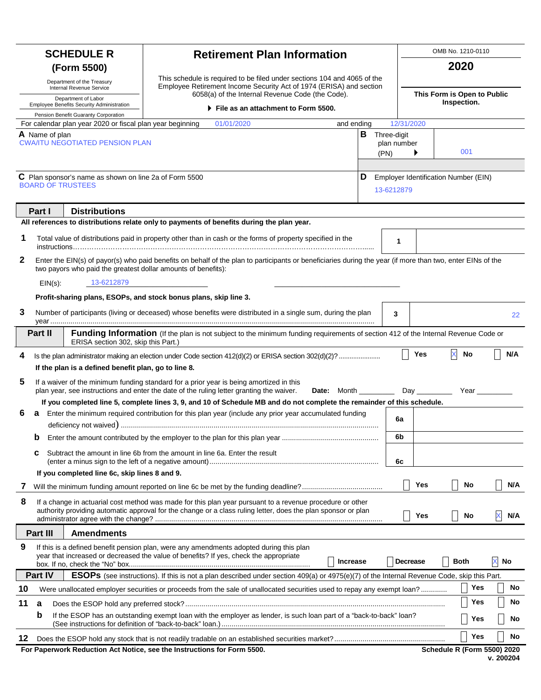|                                                                                         |                                                                                                                                                                                                                             | <b>SCHEDULE R</b>                                                       | <b>Retirement Plan Information</b>                                                                                                                                                                                         |                                                                                                                                                 |  |                 |                     |                                                    | OMB No. 1210-0110 |                                    |     |  |
|-----------------------------------------------------------------------------------------|-----------------------------------------------------------------------------------------------------------------------------------------------------------------------------------------------------------------------------|-------------------------------------------------------------------------|----------------------------------------------------------------------------------------------------------------------------------------------------------------------------------------------------------------------------|-------------------------------------------------------------------------------------------------------------------------------------------------|--|-----------------|---------------------|----------------------------------------------------|-------------------|------------------------------------|-----|--|
| (Form 5500)<br>Department of the Treasury<br>Internal Revenue Service                   |                                                                                                                                                                                                                             |                                                                         |                                                                                                                                                                                                                            |                                                                                                                                                 |  |                 |                     | 2020                                               |                   |                                    |     |  |
|                                                                                         |                                                                                                                                                                                                                             |                                                                         |                                                                                                                                                                                                                            | This schedule is required to be filed under sections 104 and 4065 of the<br>Employee Retirement Income Security Act of 1974 (ERISA) and section |  |                 |                     |                                                    |                   |                                    |     |  |
| Department of Labor<br><b>Employee Benefits Security Administration</b>                 |                                                                                                                                                                                                                             |                                                                         | 6058(a) of the Internal Revenue Code (the Code).                                                                                                                                                                           |                                                                                                                                                 |  |                 |                     | This Form is Open to Public<br>Inspection.         |                   |                                    |     |  |
|                                                                                         |                                                                                                                                                                                                                             | Pension Benefit Guaranty Corporation                                    |                                                                                                                                                                                                                            | File as an attachment to Form 5500.                                                                                                             |  |                 |                     |                                                    |                   |                                    |     |  |
|                                                                                         |                                                                                                                                                                                                                             | For calendar plan year 2020 or fiscal plan year beginning               |                                                                                                                                                                                                                            | 01/01/2020                                                                                                                                      |  | and ending      |                     | 12/31/2020                                         |                   |                                    |     |  |
|                                                                                         | A Name of plan                                                                                                                                                                                                              | <b>CWA/ITU NEGOTIATED PENSION PLAN</b>                                  |                                                                                                                                                                                                                            |                                                                                                                                                 |  | в               | Three-digit<br>(PN) | plan number                                        |                   | 001                                |     |  |
| C Plan sponsor's name as shown on line 2a of Form 5500<br>D<br><b>BOARD OF TRUSTEES</b> |                                                                                                                                                                                                                             |                                                                         |                                                                                                                                                                                                                            |                                                                                                                                                 |  |                 |                     | Employer Identification Number (EIN)<br>13-6212879 |                   |                                    |     |  |
|                                                                                         | Part I                                                                                                                                                                                                                      | <b>Distributions</b>                                                    | All references to distributions relate only to payments of benefits during the plan year.                                                                                                                                  |                                                                                                                                                 |  |                 |                     |                                                    |                   |                                    |     |  |
| 1                                                                                       |                                                                                                                                                                                                                             |                                                                         | Total value of distributions paid in property other than in cash or the forms of property specified in the                                                                                                                 |                                                                                                                                                 |  |                 |                     | 1                                                  |                   |                                    |     |  |
| 2                                                                                       | Enter the EIN(s) of payor(s) who paid benefits on behalf of the plan to participants or beneficiaries during the year (if more than two, enter EINs of the<br>two payors who paid the greatest dollar amounts of benefits): |                                                                         |                                                                                                                                                                                                                            |                                                                                                                                                 |  |                 |                     |                                                    |                   |                                    |     |  |
|                                                                                         | $EIN(s)$ :                                                                                                                                                                                                                  | 13-6212879                                                              |                                                                                                                                                                                                                            |                                                                                                                                                 |  |                 |                     |                                                    |                   |                                    |     |  |
|                                                                                         |                                                                                                                                                                                                                             |                                                                         | Profit-sharing plans, ESOPs, and stock bonus plans, skip line 3.                                                                                                                                                           |                                                                                                                                                 |  |                 |                     |                                                    |                   |                                    |     |  |
| 3                                                                                       |                                                                                                                                                                                                                             |                                                                         | Number of participants (living or deceased) whose benefits were distributed in a single sum, during the plan                                                                                                               |                                                                                                                                                 |  |                 |                     | 3                                                  |                   |                                    | 22  |  |
|                                                                                         | Part II                                                                                                                                                                                                                     | ERISA section 302, skip this Part.)                                     | Funding Information (If the plan is not subject to the minimum funding requirements of section 412 of the Internal Revenue Code or                                                                                         |                                                                                                                                                 |  |                 |                     |                                                    |                   |                                    |     |  |
| 4                                                                                       |                                                                                                                                                                                                                             |                                                                         |                                                                                                                                                                                                                            |                                                                                                                                                 |  |                 |                     |                                                    | <b>Yes</b>        | X<br>No                            | N/A |  |
|                                                                                         |                                                                                                                                                                                                                             | If the plan is a defined benefit plan, go to line 8.                    |                                                                                                                                                                                                                            |                                                                                                                                                 |  |                 |                     |                                                    |                   |                                    |     |  |
| 5                                                                                       | If a waiver of the minimum funding standard for a prior year is being amortized in this<br>plan year, see instructions and enter the date of the ruling letter granting the waiver.                                         |                                                                         |                                                                                                                                                                                                                            |                                                                                                                                                 |  |                 |                     |                                                    |                   |                                    |     |  |
|                                                                                         |                                                                                                                                                                                                                             |                                                                         | If you completed line 5, complete lines 3, 9, and 10 of Schedule MB and do not complete the remainder of this schedule.                                                                                                    |                                                                                                                                                 |  |                 |                     |                                                    |                   |                                    |     |  |
| 6                                                                                       | a                                                                                                                                                                                                                           |                                                                         | Enter the minimum required contribution for this plan year (include any prior year accumulated funding                                                                                                                     |                                                                                                                                                 |  |                 |                     | 6a                                                 |                   |                                    |     |  |
|                                                                                         | D                                                                                                                                                                                                                           |                                                                         |                                                                                                                                                                                                                            |                                                                                                                                                 |  |                 |                     | 6b                                                 |                   |                                    |     |  |
|                                                                                         | c                                                                                                                                                                                                                           |                                                                         | Subtract the amount in line 6b from the amount in line 6a. Enter the result                                                                                                                                                |                                                                                                                                                 |  |                 |                     | 6c                                                 |                   |                                    |     |  |
|                                                                                         |                                                                                                                                                                                                                             | If you completed line 6c, skip lines 8 and 9.                           |                                                                                                                                                                                                                            |                                                                                                                                                 |  |                 |                     |                                                    |                   |                                    |     |  |
| $\prime$                                                                                |                                                                                                                                                                                                                             |                                                                         |                                                                                                                                                                                                                            |                                                                                                                                                 |  |                 |                     |                                                    | Yes               | No                                 | N/A |  |
| 8                                                                                       |                                                                                                                                                                                                                             |                                                                         | If a change in actuarial cost method was made for this plan year pursuant to a revenue procedure or other<br>authority providing automatic approval for the change or a class ruling letter, does the plan sponsor or plan |                                                                                                                                                 |  |                 |                     |                                                    | Yes               | No                                 | N/A |  |
|                                                                                         | Part III                                                                                                                                                                                                                    | <b>Amendments</b>                                                       |                                                                                                                                                                                                                            |                                                                                                                                                 |  |                 |                     |                                                    |                   |                                    |     |  |
| 9                                                                                       |                                                                                                                                                                                                                             |                                                                         | If this is a defined benefit pension plan, were any amendments adopted during this plan<br>year that increased or decreased the value of benefits? If yes, check the appropriate                                           |                                                                                                                                                 |  | <b>Increase</b> |                     | Decrease                                           |                   | <b>Both</b>                        | No  |  |
|                                                                                         | Part IV                                                                                                                                                                                                                     |                                                                         | <b>ESOPs</b> (see instructions). If this is not a plan described under section 409(a) or 4975(e)(7) of the Internal Revenue Code, skip this Part.                                                                          |                                                                                                                                                 |  |                 |                     |                                                    |                   |                                    |     |  |
| 10                                                                                      |                                                                                                                                                                                                                             |                                                                         | Were unallocated employer securities or proceeds from the sale of unallocated securities used to repay any exempt loan?                                                                                                    |                                                                                                                                                 |  |                 |                     |                                                    |                   | Yes                                | No  |  |
| 11                                                                                      | a                                                                                                                                                                                                                           |                                                                         |                                                                                                                                                                                                                            |                                                                                                                                                 |  |                 |                     |                                                    |                   | Yes                                | No  |  |
|                                                                                         | b                                                                                                                                                                                                                           |                                                                         | If the ESOP has an outstanding exempt loan with the employer as lender, is such loan part of a "back-to-back" loan?                                                                                                        |                                                                                                                                                 |  |                 |                     |                                                    |                   | Yes                                | No  |  |
| 12                                                                                      |                                                                                                                                                                                                                             |                                                                         |                                                                                                                                                                                                                            |                                                                                                                                                 |  |                 |                     |                                                    |                   | Yes                                | No  |  |
|                                                                                         |                                                                                                                                                                                                                             | For Paperwork Reduction Act Notice, see the Instructions for Form 5500. |                                                                                                                                                                                                                            |                                                                                                                                                 |  |                 |                     |                                                    |                   | <b>Schedule R (Form 5500) 2020</b> |     |  |

**v. 200204**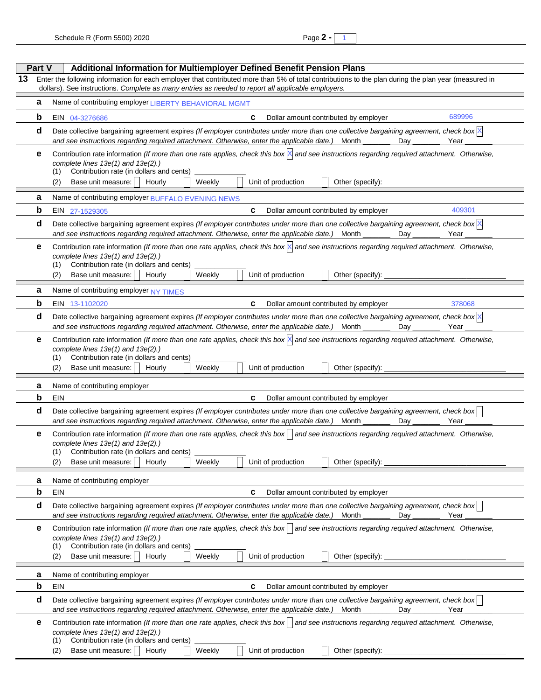1

|    | Part V | Additional Information for Multiemployer Defined Benefit Pension Plans                                                                                                                                                                                                                                                                              |  |  |  |  |  |  |  |
|----|--------|-----------------------------------------------------------------------------------------------------------------------------------------------------------------------------------------------------------------------------------------------------------------------------------------------------------------------------------------------------|--|--|--|--|--|--|--|
| 13 |        | Enter the following information for each employer that contributed more than 5% of total contributions to the plan during the plan year (measured in<br>dollars). See instructions. Complete as many entries as needed to report all applicable employers.                                                                                          |  |  |  |  |  |  |  |
|    | а      | Name of contributing employer LIBERTY BEHAVIORAL MGMT                                                                                                                                                                                                                                                                                               |  |  |  |  |  |  |  |
|    | b      | 689996<br>Dollar amount contributed by employer<br>EIN 04-3276686<br>c                                                                                                                                                                                                                                                                              |  |  |  |  |  |  |  |
|    | d      | Date collective bargaining agreement expires (If employer contributes under more than one collective bargaining agreement, check box $\mathbb K$<br>and see instructions regarding required attachment. Otherwise, enter the applicable date.)<br>Month<br>Day<br>Year                                                                              |  |  |  |  |  |  |  |
|    | е      | Contribution rate information (If more than one rate applies, check this box $\ \cdot\ $ and see instructions regarding required attachment. Otherwise,<br>complete lines 13e(1) and 13e(2).)<br>Contribution rate (in dollars and cents)<br>(1)<br>Base unit measure:<br>Unit of production<br>(2)<br>Hourly<br>Weekly<br>Other (specify):         |  |  |  |  |  |  |  |
|    | а      | Name of contributing employer BUFFALO EVENING NEWS                                                                                                                                                                                                                                                                                                  |  |  |  |  |  |  |  |
|    | b      | 409301<br>C<br>Dollar amount contributed by employer<br>EIN<br>27-1529305                                                                                                                                                                                                                                                                           |  |  |  |  |  |  |  |
|    | d      | Date collective bargaining agreement expires (If employer contributes under more than one collective bargaining agreement, check box $\mathbb N$<br>and see instructions regarding required attachment. Otherwise, enter the applicable date.) Month<br>Dav<br>Year                                                                                 |  |  |  |  |  |  |  |
|    | е      | Contribution rate information (If more than one rate applies, check this box $\ $ and see instructions regarding required attachment. Otherwise,<br>complete lines 13e(1) and 13e(2).)<br>Contribution rate (in dollars and cents)<br>(1)<br>Base unit measure:<br>Hourly<br>Weekly<br>Unit of production<br>Other (specify):<br>(2)                |  |  |  |  |  |  |  |
|    | а      | Name of contributing employer NY TIMES                                                                                                                                                                                                                                                                                                              |  |  |  |  |  |  |  |
|    | b      | C<br>EIN 13-1102020<br>Dollar amount contributed by employer<br>378068                                                                                                                                                                                                                                                                              |  |  |  |  |  |  |  |
|    | d      | Date collective bargaining agreement expires (If employer contributes under more than one collective bargaining agreement, check box $\mathbb N$<br>and see instructions regarding required attachment. Otherwise, enter the applicable date.) Month<br>Dav<br>Year                                                                                 |  |  |  |  |  |  |  |
|    | е      | Contribution rate information (If more than one rate applies, check this box $\ \cdot\ $ and see instructions regarding required attachment. Otherwise,<br>complete lines 13e(1) and 13e(2).)<br>Contribution rate (in dollars and cents)<br>(1)<br>Base unit measure:    <br>Unit of production<br>Hourly<br>Weekly<br>Other (specify):<br>(2)     |  |  |  |  |  |  |  |
|    | а      | Name of contributing employer                                                                                                                                                                                                                                                                                                                       |  |  |  |  |  |  |  |
|    | b      | EIN<br>C<br>Dollar amount contributed by employer                                                                                                                                                                                                                                                                                                   |  |  |  |  |  |  |  |
|    | d      | Date collective bargaining agreement expires (If employer contributes under more than one collective bargaining agreement, check box<br>and see instructions regarding required attachment. Otherwise, enter the applicable date.)<br>Month<br>Dav<br>Year                                                                                          |  |  |  |  |  |  |  |
|    | е      | Contribution rate information (If more than one rate applies, check this box) and see instructions regarding required attachment. Otherwise,<br>complete lines 13e(1) and 13e(2).)<br>(1) Contribution rate (in dollars and cents)<br>$\Box$ Unit of production<br>(2) Base unit measure: $\Box$ Hourly<br>$\Box$ Other (specify):<br>$\Box$ Weekly |  |  |  |  |  |  |  |
|    | а      | Name of contributing employer                                                                                                                                                                                                                                                                                                                       |  |  |  |  |  |  |  |
|    | b      | EIN<br>C<br>Dollar amount contributed by employer                                                                                                                                                                                                                                                                                                   |  |  |  |  |  |  |  |
|    | d      | Date collective bargaining agreement expires (If employer contributes under more than one collective bargaining agreement, check box<br>and see instructions regarding required attachment. Otherwise, enter the applicable date.)<br>Month<br>Day<br>Year                                                                                          |  |  |  |  |  |  |  |
|    | е      | Contribution rate information (If more than one rate applies, check this box) and see instructions regarding required attachment. Otherwise,<br>complete lines 13e(1) and 13e(2).)<br>Contribution rate (in dollars and cents)<br>(1)<br>Unit of production<br>Base unit measure:  <br>Hourly<br>Weekly<br>Other (specify):<br>(2)                  |  |  |  |  |  |  |  |
|    | а      | Name of contributing employer                                                                                                                                                                                                                                                                                                                       |  |  |  |  |  |  |  |
|    | b      | C<br>EIN<br>Dollar amount contributed by employer                                                                                                                                                                                                                                                                                                   |  |  |  |  |  |  |  |
|    | d      | Date collective bargaining agreement expires (If employer contributes under more than one collective bargaining agreement, check box<br>and see instructions regarding required attachment. Otherwise, enter the applicable date.) Month<br>Day<br>Year                                                                                             |  |  |  |  |  |  |  |
|    | е      | Contribution rate information (If more than one rate applies, check this box) and see instructions regarding required attachment. Otherwise,<br>complete lines 13e(1) and 13e(2).)<br>Contribution rate (in dollars and cents)<br>(1)<br>Base unit measure:  <br>Unit of production<br>Hourly<br>Weekly<br>Other (specify): _<br>(2)                |  |  |  |  |  |  |  |